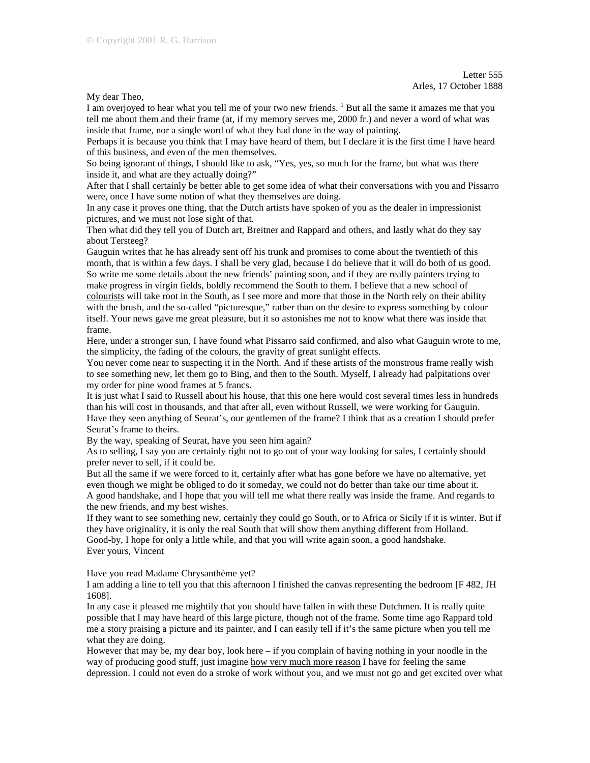My dear Theo,

I am overjoyed to hear what you tell me of your two new friends. <sup>1</sup> But all the same it amazes me that you tell me about them and their frame (at, if my memory serves me, 2000 fr.) and never a word of what was inside that frame, nor a single word of what they had done in the way of painting.

Perhaps it is because you think that I may have heard of them, but I declare it is the first time I have heard of this business, and even of the men themselves.

So being ignorant of things, I should like to ask, "Yes, yes, so much for the frame, but what was there inside it, and what are they actually doing?"

After that I shall certainly be better able to get some idea of what their conversations with you and Pissarro were, once I have some notion of what they themselves are doing.

In any case it proves one thing, that the Dutch artists have spoken of you as the dealer in impressionist pictures, and we must not lose sight of that.

Then what did they tell you of Dutch art, Breitner and Rappard and others, and lastly what do they say about Tersteeg?

Gauguin writes that he has already sent off his trunk and promises to come about the twentieth of this month, that is within a few days. I shall be very glad, because I do believe that it will do both of us good. So write me some details about the new friends' painting soon, and if they are really painters trying to make progress in virgin fields, boldly recommend the South to them. I believe that a new school of colourists will take root in the South, as I see more and more that those in the North rely on their ability with the brush, and the so-called "picturesque," rather than on the desire to express something by colour itself. Your news gave me great pleasure, but it so astonishes me not to know what there was inside that frame.

Here, under a stronger sun, I have found what Pissarro said confirmed, and also what Gauguin wrote to me, the simplicity, the fading of the colours, the gravity of great sunlight effects.

You never come near to suspecting it in the North. And if these artists of the monstrous frame really wish to see something new, let them go to Bing, and then to the South. Myself, I already had palpitations over my order for pine wood frames at 5 francs.

It is just what I said to Russell about his house, that this one here would cost several times less in hundreds than his will cost in thousands, and that after all, even without Russell, we were working for Gauguin. Have they seen anything of Seurat's, our gentlemen of the frame? I think that as a creation I should prefer Seurat's frame to theirs.

By the way, speaking of Seurat, have you seen him again?

As to selling, I say you are certainly right not to go out of your way looking for sales, I certainly should prefer never to sell, if it could be.

But all the same if we were forced to it, certainly after what has gone before we have no alternative, yet even though we might be obliged to do it someday, we could not do better than take our time about it. A good handshake, and I hope that you will tell me what there really was inside the frame. And regards to the new friends, and my best wishes.

If they want to see something new, certainly they could go South, or to Africa or Sicily if it is winter. But if they have originality, it is only the real South that will show them anything different from Holland. Good-by, I hope for only a little while, and that you will write again soon, a good handshake. Ever yours, Vincent

Have you read Madame Chrysanthème yet?

I am adding a line to tell you that this afternoon I finished the canvas representing the bedroom [F 482, JH 1608].

In any case it pleased me mightily that you should have fallen in with these Dutchmen. It is really quite possible that I may have heard of this large picture, though not of the frame. Some time ago Rappard told me a story praising a picture and its painter, and I can easily tell if it's the same picture when you tell me what they are doing.

However that may be, my dear boy, look here – if you complain of having nothing in your noodle in the way of producing good stuff, just imagine how very much more reason I have for feeling the same depression. I could not even do a stroke of work without you, and we must not go and get excited over what